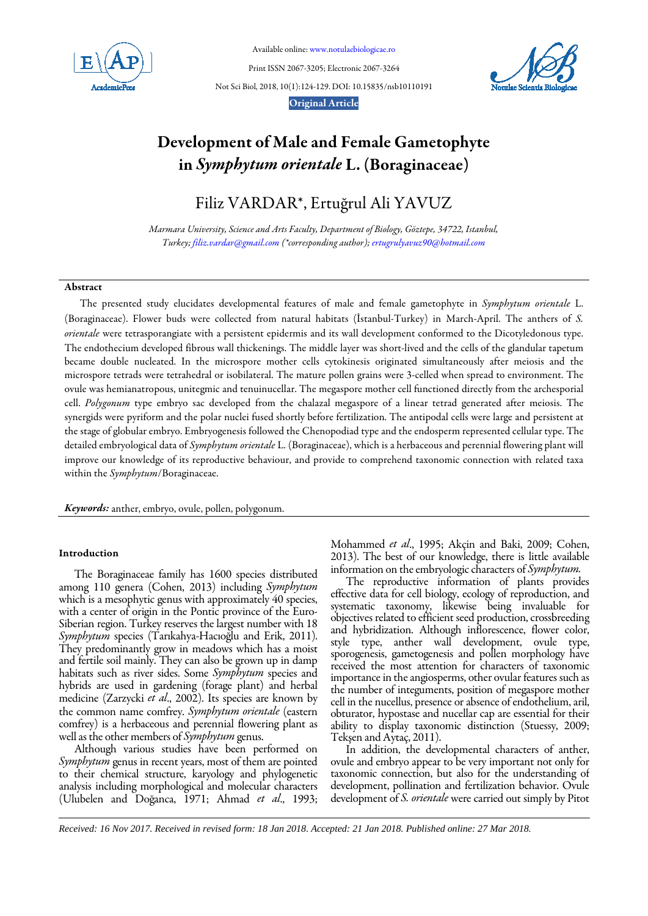

Available online[: www.notulaebiologicae.ro](http://www.notulaebiologicae.ro/index.php/nsb)

Print ISSN 2067-3205; Electronic 2067-3264

Not Sci Biol, 2018, 10(1):124-129. DOI: 10.15835/nsb10110191





# Development of Male and Female Gametophyte in *Symphytum orientale* L. (Boraginaceae)

Filiz VARDAR\*, Ertuğrul Ali YAVUZ

*Marmara University, Science and Arts Faculty, Department of Biology, Göztepe, 34722, Istanbul, Turkey[; filiz.vardar@gmail.com](mailto:filiz.vardar@gmail.com) (\*corresponding author)[; ertugrulyavuz90@hotmail.com](mailto:ertugrulyavuz90@hotmail.com)*

# Abstract

The presented study elucidates developmental features of male and female gametophyte in *Symphytum orientale* L. (Boraginaceae). Flower buds were collected from natural habitats (İstanbul-Turkey) in March-April. The anthers of *S. orientale* were tetrasporangiate with a persistent epidermis and its wall development conformed to the Dicotyledonous type. The endothecium developed fibrous wall thickenings. The middle layer was short-lived and the cells of the glandular tapetum became double nucleated. In the microspore mother cells cytokinesis originated simultaneously after meiosis and the microspore tetrads were tetrahedral or isobilateral. The mature pollen grains were 3-celled when spread to environment. The ovule was hemianatropous, unitegmic and tenuinucellar. The megaspore mother cell functioned directly from the archesporial cell. *Polygonum* type embryo sac developed from the chalazal megaspore of a linear tetrad generated after meiosis. The synergids were pyriform and the polar nuclei fused shortly before fertilization. The antipodal cells were large and persistent at the stage of globular embryo. Embryogenesis followed the Chenopodiad type and the endosperm represented cellular type. The detailed embryological data of *Symphytum orientale* L. (Boraginaceae), which is a herbaceous and perennial flowering plant will improve our knowledge of its reproductive behaviour, and provide to comprehend taxonomic connection with related taxa within the *Symphytum*/Boraginaceae.

*Keywords:*anther, embryo, ovule, pollen, polygonum.

## Introduction

The Boraginaceae family has 1600 species distributed among 110 genera (Cohen, 2013) including *Symphytum* which is a mesophytic genus with approximately 40 species, with a center of origin in the Pontic province of the Euro-Siberian region. Turkey reserves the largest number with 18 *Symphytum* species (Tarıkahya-Hacıoğlu and Erik, 2011). They predominantly grow in meadows which has a moist and fertile soil mainly. They can also be grown up in damp habitats such as river sides. Some *Symphytum* species and hybrids are used in gardening (forage plant) and herbal medicine (Zarzycki *et al*., 2002). Its species are known by the common name comfrey. *Symphytum orientale* (eastern comfrey) is a herbaceous and perennial flowering plant as well as the other members of *Symphytum* genus.

Although various studies have been performed on *Symphytum* genus in recent years, most of them are pointed to their chemical structure, karyology and phylogenetic analysis including morphological and molecular characters (Ulubelen and Doğanca, 1971; Ahmad *et al*., 1993; Mohammed *et al*., 1995; Akçin and Baki, 2009; Cohen, 2013). The best of our knowledge, there is little available information on the embryologic characters of *Symphytum.*

The reproductive information of plants provides effective data for cell biology, ecology of reproduction, and systematic taxonomy, likewise being invaluable for objectives related to efficient seed production, crossbreeding and hybridization. Although inflorescence, flower color, style type, anther wall development, ovule type, sporogenesis, gametogenesis and pollen morphology have received the most attention for characters of taxonomic importance in the angiosperms, other ovular features such as the number of integuments, position of megaspore mother cell in the nucellus, presence or absence of endothelium, aril, obturator, hypostase and nucellar cap are essential for their ability to display taxonomic distinction (Stuessy, 2009; Tekşen and Aytaç, 2011).

In addition, the developmental characters of anther, ovule and embryo appear to be very important not only for taxonomic connection, but also for the understanding of development, pollination and fertilization behavior. Ovule development of *S. orientale* were carried out simply by Pitot

*Received: 16 Nov 2017. Received in revised form: 18 Jan 2018. Accepted: 21 Jan 2018. Published online: 27 Mar 2018.*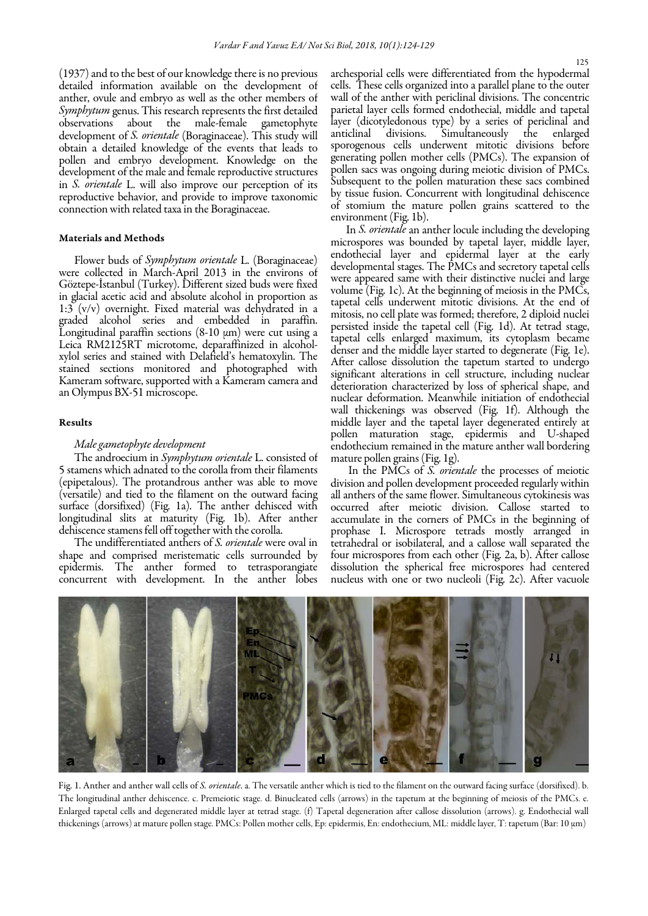(1937) and to the best of our knowledge there is no previous detailed information available on the development of anther, ovule and embryo as well as the other members of *Symphytum* genus. This research represents the first detailed<br>observations about the male-female gametophyte male-female gametophyte development of *S. orientale* (Boraginaceae). This study will obtain a detailed knowledge of the events that leads to pollen and embryo development. Knowledge on the development of the male and female reproductive structures in *S. orientale* L. will also improve our perception of its reproductive behavior, and provide to improve taxonomic connection with related taxa in the Boraginaceae.

## Materials and Methods

Flower buds of *Symphytum orientale* L. (Boraginaceae) were collected in March-April 2013 in the environs of Göztepe-İstanbul (Turkey). Different sized buds were fixed in glacial acetic acid and absolute alcohol in proportion as 1:3 (v/v) overnight. Fixed material was dehydrated in a graded alcohol series and embedded in paraffin.<br>Longitudinal paraffin sections  $(8-10 \mu m)$  were cut using a Leica RM2125RT microtome, deparaffinized in alcoholxylol series and stained with Delafield's hematoxylin. The stained sections monitored and photographed with Kameram software, supported with a Kameram camera and an Olympus BX-51 microscope.

# Results

# *Male gametophyte development*

The androecium in *Symphytum orientale* L. consisted of 5 stamens which adnated to the corolla from their filaments (epipetalous). The protandrous anther was able to move surface (dorsifixed) (Fig. 1a). The anther dehisced with longitudinal slits at maturity (Fig. 1b). After anther dehiscence stamens fell off together with the corolla.

The undifferentiated anthers of *S. orientale* were oval in shape and comprised meristematic cells surrounded by epidermis. The anther formed to tetrasporangiate concurrent with development. In the anther lobes archesporial cells were differentiated from the hypodermal cells. These cells organized into a parallel plane to the outer wall of the anther with periclinal divisions. The concentric parietal layer cells formed endothecial, middle and tapetal layer (dicotyledonous type) by a series of periclinal and anticlinal divisions. Simultaneously the enlarged sporogenous cells underwent mitotic divisions before generating pollen mother cells (PMCs). The expansion of pollen sacs was ongoing during meiotic division of PMCs. Subsequent to the pollen maturation these sacs combined by tissue fusion. Concurrent with longitudinal dehiscence of stomium the mature pollen grains scattered to the environment (Fig. 1b).

In *S. orientale* an anther locule including the developing microspores was bounded by tapetal layer, middle layer, endothecial layer and epidermal layer at the early developmental stages. The PMCs and secretory tapetal cells were appeared same with their distinctive nuclei and large volume (Fig. 1c). At the beginning of meiosis in the PMCs, tapetal cells underwent mitotic divisions. At the end of mitosis, no cell plate was formed; therefore, 2 diploid nuclei persisted inside the tapetal cell (Fig. 1d). At tetrad stage, tapetal cells enlarged maximum, its cytoplasm became denser and the middle layer started to degenerate (Fig. 1e). After callose dissolution the tapetum started to undergo significant alterations in cell structure, including nuclear deterioration characterized by loss of spherical shape, and nuclear deformation. Meanwhile initiation of endothecial wall thickenings was observed (Fig. 1f). Although the middle layer and the tapetal layer degenerated entirely at pollen maturation stage, epidermis and U-shaped endothecium remained in the mature anther wall bordering mature pollen grains (Fig. 1g).

In the PMCs of *S. orientale* the processes of meiotic division and pollen development proceeded regularly within all anthers of the same flower. Simultaneous cytokinesis was occurred after meiotic division. Callose started to accumulate in the corners of PMCs in the beginning of prophase I. Microspore tetrads mostly arranged in tetrahedral or isobilateral, and a callose wall separated the four microspores from each other (Fig. 2a, b). After callose dissolution the spherical free microspores had centered nucleus with one or two nucleoli (Fig. 2c). After vacuole



Fig. 1. Anther and anther wall cells of *S. orientale*. a. The versatile anther which is tied to the filament on the outward facing surface (dorsifixed). b. The longitudinal anther dehiscence. c. Premeiotic stage. d. Binucleated cells (arrows) in the tapetum at the beginning of meiosis of the PMCs. e. Enlarged tapetal cells and degenerated middle layer at tetrad stage. (f) Tapetal degeneration after callose dissolution (arrows). g. Endothecial wall thickenings (arrows) at mature pollen stage. PMCs: Pollen mother cells, Ep: epidermis, En: endothecium, ML: middle layer, T: tapetum (Bar: 10 µm)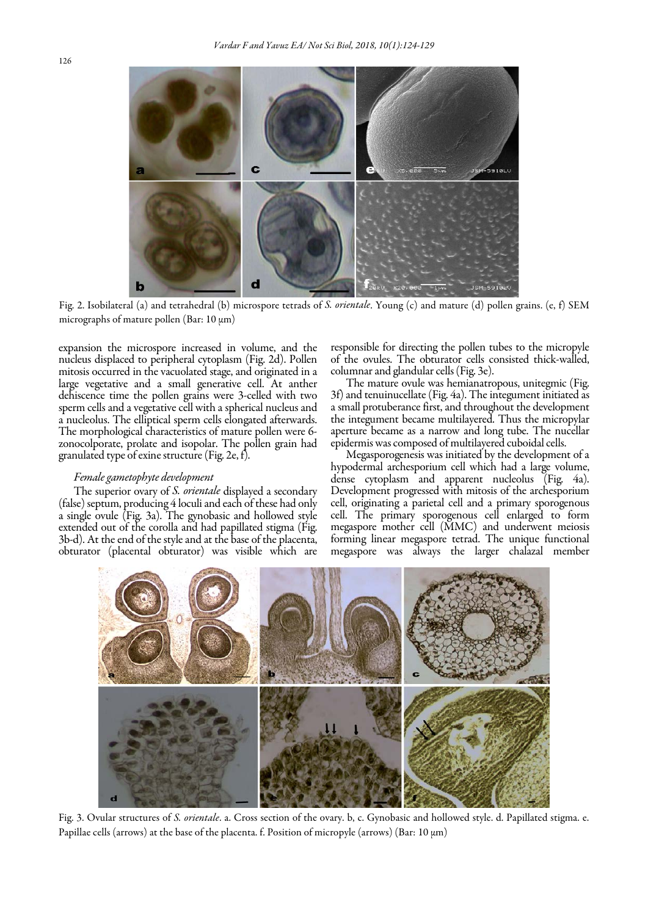

Fig. 2. Isobilateral (a) and tetrahedral (b) microspore tetrads of *S. orientale*. Young (c) and mature (d) pollen grains. (e, f) SEM micrographs of mature pollen (Bar:  $10 \mu m$ )

expansion the microspore increased in volume, and the nucleus displaced to peripheral cytoplasm (Fig. 2d). Pollen mitosis occurred in the vacuolated stage, and originated in a large vegetative and a small generative cell. At anther dehiscence time the pollen grains were 3-celled with two sperm cells and a vegetative cell with a spherical nucleus and a nucleolus. The elliptical sperm cells elongated afterwards. The morphological characteristics of mature pollen were 6 zonocolporate, prolate and isopolar. The pollen grain had granulated type of exine structure (Fig. 2e, f).

#### *Female gametophyte development*

The superior ovary of *S. orientale* displayed a secondary (false) septum, producing 4 loculi and each of these had only a single ovule (Fig. 3a). The gynobasic and hollowed style extended out of the corolla and had papillated stigma (Fig. obturator (placental obturator) was visible which are

responsible for directing the pollen tubes to the micropyle of the ovules. The obturator cells consisted thick-walled,

The mature ovule was hemianatropous, unitegmic (Fig. 3f) and tenuinucellate (Fig. 4a). The integument initiated as a small protuberance first, and throughout the development the integument became multilayered. Thus the micropylar aperture became as a narrow and long tube. The nucellar epidermis was composed of multilayered cuboidal cells.

Megasporogenesis was initiated by the development of a hypodermal archesporium cell which had a large volume, dense cytoplasm and apparent nucleolus (Fig. 4a). Development progressed with mitosis of the archesporium cell, originating a parietal cell and a primary sporogenous cell. The primary sporogenous cell enlarged to form megaspore mother cell (MMC) and underwent meiosis forming linear megaspore tetrad. The unique functional megaspore was always the larger chalazal member



Fig. 3. Ovular structures of *S. orientale*. a. Cross section of the ovary. b, c. Gynobasic and hollowed style. d. Papillated stigma. e. Papillae cells (arrows) at the base of the placenta. f. Position of micropyle (arrows) (Bar: 10  $\mu$ m)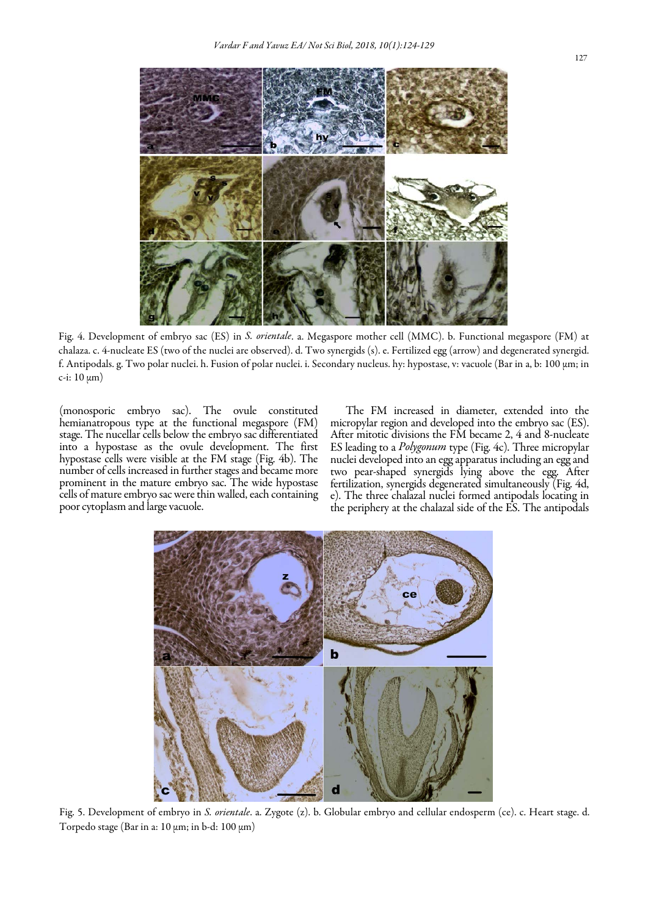

Fig. 4. Development of embryo sac (ES) in *S. orientale*. a. Megaspore mother cell (MMC). b. Functional megaspore (FM) at chalaza. c. 4-nucleate ES (two of the nuclei are observed). d. Two synergids (s). e. Fertilized egg (arrow) and degenerated synergid. f. Antipodals. g. Two polar nuclei. h. Fusion of polar nuclei. i. Secondary nucleus. hy: hypostase, v: vacuole (Bar in a, b: 100 µm; in c-i:  $10 \mu m$ )

(monosporic embryo sac). The ovule constituted hemianatropous type at the functional megaspore (FM) stage. The nucellar cells below the embryo sac differentiated into a hypostase as the ovule development. The first hypostase cells were visible at the FM stage (Fig. 4b). The number of cells increased in further stages and became more prominent in the mature embryo sac. The wide hypostase cells of mature embryo sac were thin walled, each containing poor cytoplasm and large vacuole.

The FM increased in diameter, extended into the micropylar region and developed into the embryo sac (ES). After mitotic divisions the FM became 2, 4 and 8-nucleate ES leading to a *Polygonum* type (Fig. 4c). Three micropylar nuclei developed into an egg apparatus including an egg and two pear-shaped synergids lying above the egg. After fertilization, synergids degenerated simultaneously (Fig. 4d, e). The three chalazal nuclei formed antipodals locating in the periphery at the chalazal side of the ES. The antipodals



Fig. 5. Development of embryo in *S. orientale*. a. Zygote (z). b. Globular embryo and cellular endosperm (ce). c. Heart stage. d. Torpedo stage (Bar in a:  $10 \mu m$ ; in b-d:  $100 \mu m$ )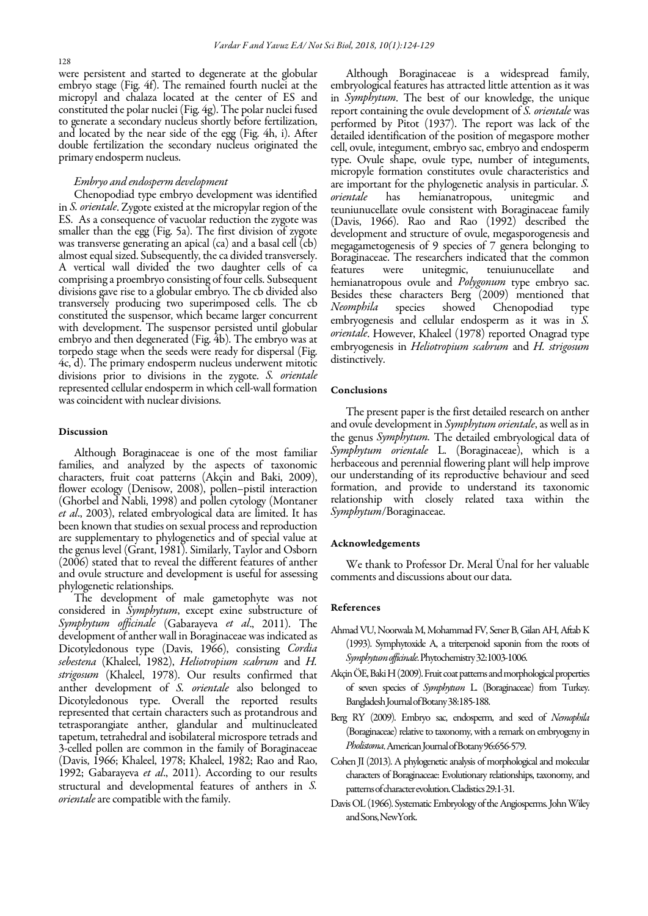were persistent and started to degenerate at the globular embryo stage (Fig. 4f). The remained fourth nuclei at the micropyl and chalaza located at the center of ES and constituted the polar nuclei (Fig. 4g). The polar nuclei fused to generate a secondary nucleus shortly before fertilization, and located by the near side of the egg (Fig. 4h, i). After double fertilization the secondary nucleus originated the primary endosperm nucleus.

# *Embryo and endosperm development*

Chenopodiad type embryo development was identified in *S. orientale*. Zygote existed at the micropylar region of the smaller than the egg (Fig. 5a). The first division of zygote was transverse generating an apical (ca) and a basal cell (cb) almost equal sized. Subsequently, the ca divided transversely. A vertical wall divided the two daughter cells of ca comprising a proembryo consisting of four cells. Subsequent divisions gave rise to a globular embryo. The cb divided also transversely producing two superimposed cells. The cb constituted the suspensor, which became larger concurrent embryo and then degenerated (Fig. 4b). The embryo was at torpedo stage when the seeds were ready for dispersal (Fig. 4c, d). The primary endosperm nucleus underwent mitotic divisions prior to divisions in the zygote. *S. orientale* represented cellular endosperm in which cell-wall formation was coincident with nuclear divisions.

#### Discussion

Although Boraginaceae is one of the most familiar families, and analyzed by the aspects of taxonomic characters, fruit coat patterns (Akçin and Baki, 2009), (Ghorbel and Nabli, 1998) and pollen cytology (Montaner *et al*., 2003), related embryological data are limited. It has been known that studies on sexual process and reproduction are supplementary to phylogenetics and of special value at the genus level (Grant, 1981). Similarly, Taylor and Osborn (2006) stated that to reveal the different features of anther and ovule structure and development is useful for assessing phylogenetic relationships.

The development of male gametophyte was not considered in *Symphytum*, except exine substructure of *Symphytum officinale* (Gabarayeva *et al*., 2011). The development of anther wall in Boraginaceae was indicated as Dicotyledonous type (Davis, 1966), consisting *Cordia sebestena* (Khaleel, 1982), *Heliotropium scabrum* and *H. strigosum* (Khaleel, 1978). Our results confirmed that anther development of *S. orientale* also belonged to Dicotyledonous type. Overall the reported results represented that certain characters such as protandrous and tetrasporangiate anther, glandular and multinucleated tapetum, tetrahedral and isobilateral microspore tetrads and 3-celled pollen are common in the family of Boraginaceae (Davis, 1966; Khaleel, 1978; Khaleel, 1982; Rao and Rao, 1992; Gabarayeva *et al*., 2011). According to our results structural and developmental features of anthers in *S. orientale*are compatible with the family.

Although Boraginaceae is a widespread family, embryological features has attracted little attention as it was in *Symphytum*. The best of our knowledge, the unique report containing the ovule development of *S. orientale* was performed by Pitot (1937). The report was lack of the detailed identification of the position of megaspore mother cell, ovule, integument, embryo sac, embryo and endosperm type. Ovule shape, ovule type, number of integuments, micropyle formation constitutes ovule characteristics and are important for the phylogenetic analysis in particular. *S. orientale* has hemianatropous, unitegmic and teuniunucellate ovule consistent with Boraginaceae family (Davis, 1966). Rao and Rao (1992) described the development and structure of ovule, megasporogenesis and megagametogenesis of 9 species of 7 genera belonging to Boraginaceae. The researchers indicated that the common features were unitegmic, tenuiunucellate and were unitegmic, tenuiunucellate and hemianatropous ovule and *Polygonum* type embryo sac. Besides these characters Berg (2009) mentioned that Neomphila species showed Chenopodiad type *Neomphila* species showed Chenopodiad type embryogenesis and cellular endosperm as it was in *S. orientale*. However, Khaleel (1978) reported Onagrad type embryogenesis in *Heliotropium scabrum* and *H. strigosum* distinctively.

#### Conclusions

The present paper is the first detailed research on anther and ovule development in *Symphytum orientale*, as well as in the genus *Symphytum.* The detailed embryological data of *Symphytum orientale* L. (Boraginaceae), which is a herbaceous and perennial flowering plant will help improve our understanding of its reproductive behaviour and seed formation, and provide to understand its taxonomic relationship with closely related taxa within the *Symphytum*/Boraginaceae.

# Acknowledgements

We thank to Professor Dr. Meral Ünal for her valuable comments and discussions about our data.

## References

- Ahmad VU, Noorwala M, Mohammad FV, Sener B, Gilan AH, Aftab K (1993). Symphytoxide A, a triterpenoid saponin from the roots of *Symphytum officinale*. Phytochemistry 32:1003-1006.
- Akçin ÖE, Baki H (2009). Fruit coat patterns and morphological properties of seven species of *Symphytum* L. (Boraginaceae) from Turkey. Bangladesh Journal of Botany38:185-188.
- Berg RY (2009). Embryo sac, endosperm, and seed of *Nemophila* (Boraginaceae) relative to taxonomy, with a remark on embryogeny in *Pholistoma*. American Journal of Botany 96:656-579.
- Cohen JI (2013). A phylogenetic analysis of morphological and molecular characters of Boraginaceae: Evolutionary relationships, taxonomy, and patterns of character evolution. Cladistics 29:1-31.
- Davis OL (1966). Systematic Embryology of the Angiosperms. John Wiley and Sons, NewYork.